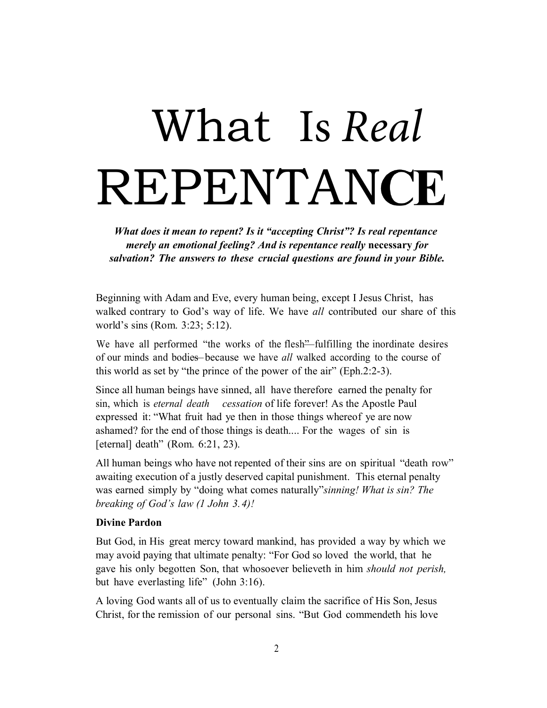# What Is *Real* **REPENTANCE**

*What does it mean to repent? Is it "accepting Christ"? Is real repentance merely an emotional feeling? And is repentance really* **necessary** *for salvation? The answers to these crucial questions are found in your Bible.* 

Beginning with Adam and Eve, every human being, except I Jesus Christ, has walked contrary to God's way of life. We have *all* contributed our share of this world's sins (Rom. 3:23; 5:12).

We have all performed "the works of the flesh" fulfilling the inordinate desires of our minds and bodies—because we have *all* walked according to the course of this world as set by "the prince of the power of the air" (Eph.2:2-3).

Since all human beings have sinned, all have therefore earned the penalty for sin, which is *eternal death cessation* of life forever! As the Apostle Paul expressed it: "What fruit had ye then in those things whereof ye are now ashamed? for the end of those things is death.... For the wages of sin is [eternal] death" (Rom. 6:21, 23).

All human beings who have not repented of their sins are on spiritual "death row" awaiting execution of a justly deserved capital punishment. This eternal penalty was earned simply by "doing what comes naturally"*sinning! What is sin? The breaking of God's law (1 John 3. 4)!* 

# **Divine Pardon**

But God, in His great mercy toward mankind, has provided a way by which we may avoid paying that ultimate penalty: "For God so loved the world, that he gave his only begotten Son, that whosoever believeth in him *should not perish,*  but have everlasting life" (John 3:16).

A loving God wants all of us to eventually claim the sacrifice of His Son, Jesus Christ, for the remission of our personal sins. "But God commendeth his love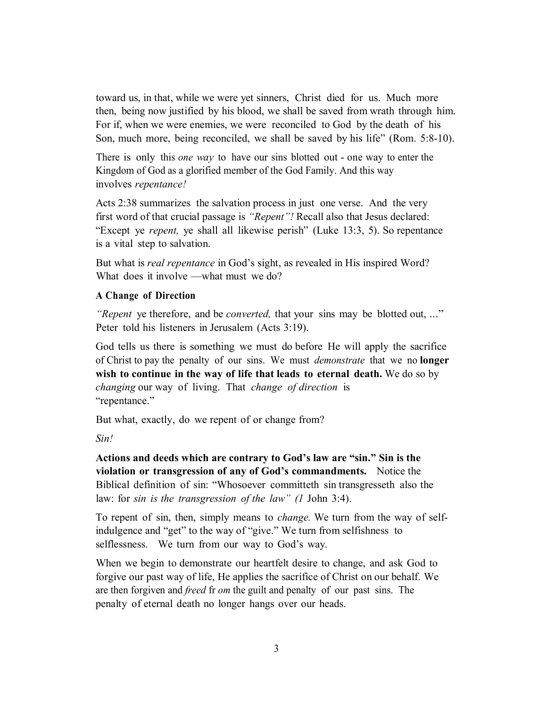toward us, in that, while we were yet sinners, Christ died for us. Much more then, being now justified by his blood, we shall be saved from wrath through him. For if, when we were enemies, we were reconciled to God by the death of his Son, much more, being reconciled, we shall be saved by his life" (Rom. 5:8-10).

There is only this *one way* to have our sins blotted out - one way to enter the Kingdom of God as a glorified member of the God Family. And this way involves *repentance!* 

Acts 2:38 summarizes the salvation process in just one verse. And the very first word of that crucial passage is *"Repent"!* Recall also that Jesus declared: "Except ye *repent,* ye shall all likewise perish" (Luke 13:3, 5). So repentance is a vital step to salvation.

But what is *real repentance* in God's sight, as revealed in His inspired Word? What does it involve —what must we do?

# **A Change of Direction**

*"Repent* ye therefore, and be *converted,* that your sins may be blotted out, ..." Peter told his listeners in Jerusalem (Acts 3:19).

God tells us there is something we must do before He will apply the sacrifice of Christ to pay the penalty of our sins. We must *demonstrate* that we no **longer wish to continue in the way of life that leads to eternal death.** We do so by *changing* our way of living. That *change of direction* is "repentance."

But what, exactly, do we repent of or change from?

*Sin!* 

**Actions and deeds which are contrary to God's law are "sin." Sin is the violation or transgression of any of God's commandments.** Notice the Biblical definition of sin: "Whosoever committeth sin transgresseth also the law: for *sin is the transgression of the law" (1* John 3:4).

To repent of sin, then, simply means to *change.* We turn from the way of selfindulgence and "get" to the way of "give." We turn from selfishness to selflessness. We turn from our way to God's way.

When we begin to demonstrate our heartfelt desire to change, and ask God to forgive our past way of life, He applies the sacrifice of Christ on our behalf. We are then forgiven and *freed* fr *om* the guilt and penalty of our past sins. The penalty of eternal death no longer hangs over our heads.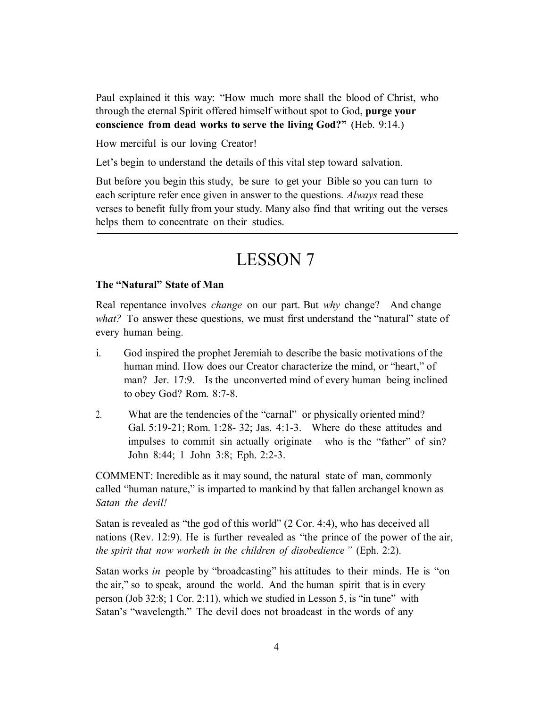Paul explained it this way: "How much more shall the blood of Christ, who through the eternal Spirit offered himself without spot to God, **purge your conscience from dead works to serve the living God?"** (Heb. 9:14.)

How merciful is our loving Creator!

Let's begin to understand the details of this vital step toward salvation.

But before you begin this study, be sure to get your Bible so you can turn to each scripture refer ence given in answer to the questions. *Always* read these verses to benefit fully from your study. Many also find that writing out the verses helps them to concentrate on their studies.

# LESSON 7

#### **The "Natural" State of Man**

Real repentance involves *change* on our part. But *why* change? And change *what?* To answer these questions, we must first understand the "natural" state of every human being.

- i. God inspired the prophet Jeremiah to describe the basic motivations of the human mind. How does our Creator characterize the mind, or "heart," of man? Jer. 17:9. Is the unconverted mind of every human being inclined to obey God? Rom. 8:7-8.
- 2. What are the tendencies of the "carnal" or physically oriented mind? Gal. 5:19-21; Rom. 1:28- 32; Jas. 4:1-3. Where do these attitudes and impulses to commit sin actually originate— who is the "father" of sin? John 8:44; 1 John 3:8; Eph. 2:2-3.

COMMENT: Incredible as it may sound, the natural state of man, commonly called "human nature," is imparted to mankind by that fallen archangel known as *Satan the devil!* 

Satan is revealed as "the god of this world" (2 Cor. 4:4), who has deceived all nations (Rev. 12:9). He is further revealed as "the prince of the power of the air, *the spirit that now worketh in the children of disobedience "* (Eph. 2:2).

Satan works *in* people by "broadcasting" his attitudes to their minds. He is "on the air," so to speak, around the world. And the human spirit that is in every person (Job 32:8; 1 Cor. 2:11), which we studied in Lesson 5, is "in tune" with Satan's "wavelength." The devil does not broadcast in the words of any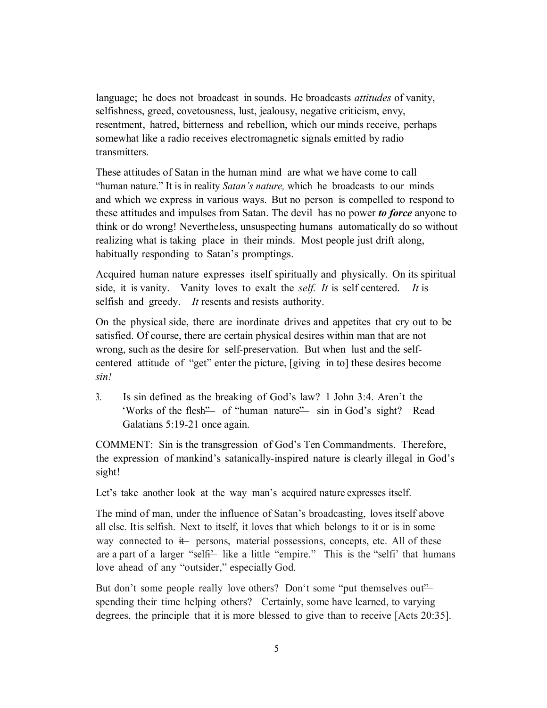language; he does not broadcast in sounds. He broadcasts *attitudes* of vanity, selfishness, greed, covetousness, lust, jealousy, negative criticism, envy, resentment, hatred, bitterness and rebellion, which our minds receive, perhaps somewhat like a radio receives electromagnetic signals emitted by radio transmitters.

These attitudes of Satan in the human mind are what we have come to call "human nature." It is in reality *Satan's nature,* which he broadcasts to our minds and which we express in various ways. But no person is compelled to respond to these attitudes and impulses from Satan. The devil has no power *to force* anyone to think or do wrong! Nevertheless, unsuspecting humans automatically do so without realizing what is taking place in their minds. Most people just drift along, habitually responding to Satan's promptings.

Acquired human nature expresses itself spiritually and physically. On its spiritual side, it is vanity. Vanity loves to exalt the *self. It* is self centered. *It* is selfish and greedy. *It* resents and resists authority.

On the physical side, there are inordinate drives and appetites that cry out to be satisfied. Of course, there are certain physical desires within man that are not wrong, such as the desire for self-preservation. But when lust and the selfcentered attitude of "get" enter the picture, [giving in to] these desires become *sin!* 

3. Is sin defined as the breaking of God's law? 1 John 3:4. Aren't the 'Works of the flesh" of "human nature" sin in God's sight? Read Galatians 5:19-21 once again.

COMMENT: Sin is the transgression of God's Ten Commandments. Therefore, the expression of mankind's satanically-inspired nature is clearly illegal in God's sight!

Let's take another look at the way man's acquired nature expresses itself.

The mind of man, under the influence of Satan's broadcasting, loves itself above all else. Itis selfish. Next to itself, it loves that which belongs to it or is in some way connected to  $#$  persons, material possessions, concepts, etc. All of these are a part of a larger "selfi- like a little "empire." This is the "selfi' that humans love ahead of any "outsider," especially God.

But don't some people really love others? Don't some "put themselves out" spending their time helping others? Certainly, some have learned, to varying degrees, the principle that it is more blessed to give than to receive [Acts 20:35].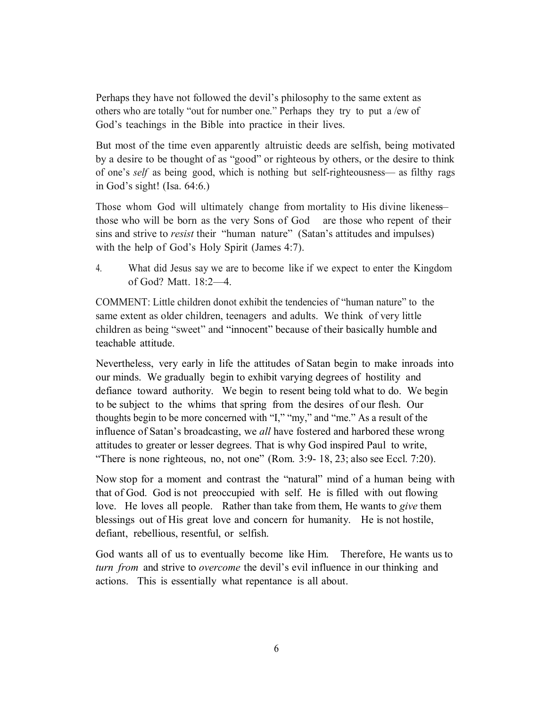Perhaps they have not followed the devil's philosophy to the same extent as others who are totally "out for number one." Perhaps they try to put a /ew of God's teachings in the Bible into practice in their lives.

But most of the time even apparently altruistic deeds are selfish, being motivated by a desire to be thought of as "good" or righteous by others, or the desire to think of one's *self* as being good, which is nothing but self-righteousness— as filthy rags in God's sight! (Isa. 64:6.)

Those whom God will ultimately change from mortality to His divine likeness those who will be born as the very Sons of God are those who repent of their sins and strive to *resist* their "human nature" (Satan's attitudes and impulses) with the help of God's Holy Spirit (James 4:7).

4. What did Jesus say we are to become like if we expect to enter the Kingdom of God? Matt. 18:2—4.

COMMENT: Little children donot exhibit the tendencies of "human nature" to the same extent as older children, teenagers and adults. We think of very little children as being "sweet" and "innocent" because of their basically humble and teachable attitude.

Nevertheless, very early in life the attitudes of Satan begin to make inroads into our minds. We gradually begin to exhibit varying degrees of hostility and defiance toward authority. We begin to resent being told what to do. We begin to be subject to the whims that spring from the desires of our flesh. Our thoughts begin to be more concerned with "I," "my," and "me." As a result of the influence of Satan's broadcasting, we *all* have fostered and harbored these wrong attitudes to greater or lesser degrees. That is why God inspired Paul to write, "There is none righteous, no, not one" (Rom. 3:9- 18, 23; also see Eccl. 7:20).

Now stop for a moment and contrast the "natural" mind of a human being with that of God. God is not preoccupied with self. He is filled with out flowing love. He loves all people. Rather than take from them, He wants to *give* them blessings out of His great love and concern for humanity. He is not hostile, defiant, rebellious, resentful, or selfish.

God wants all of us to eventually become like Him. Therefore, He wants us to *turn from* and strive to *overcome* the devil's evil influence in our thinking and actions. This is essentially what repentance is all about.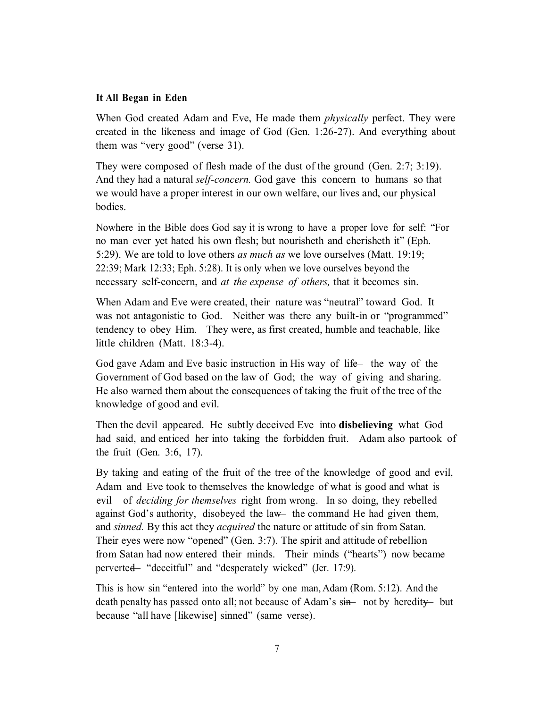#### **It All Began in Eden**

When God created Adam and Eve, He made them *physically* perfect. They were created in the likeness and image of God (Gen. 1:26-27). And everything about them was "very good" (verse 31).

They were composed of flesh made of the dust of the ground (Gen. 2:7; 3:19). And they had a natural *self-concern.* God gave this concern to humans so that we would have a proper interest in our own welfare, our lives and, our physical bodies.

Nowhere in the Bible does God say it is wrong to have a proper love for self: "For no man ever yet hated his own flesh; but nourisheth and cherisheth it" (Eph. 5:29). We are told to love others *as much as* we love ourselves (Matt. 19:19; 22:39; Mark 12:33; Eph. 5:28). It is only when we love ourselves beyond the necessary self-concern, and *at the expense of others,* that it becomes sin.

When Adam and Eve were created, their nature was "neutral" toward God. It was not antagonistic to God. Neither was there any built-in or "programmed" tendency to obey Him. They were, as first created, humble and teachable, like little children (Matt. 18:3-4).

God gave Adam and Eve basic instruction in His way of life—the way of the Government of God based on the law of God; the way of giving and sharing. He also warned them about the consequences of taking the fruit of the tree of the knowledge of good and evil.

Then the devil appeared. He subtly deceived Eve into **disbelieving** what God had said, and enticed her into taking the forbidden fruit. Adam also partook of the fruit (Gen. 3:6, 17).

By taking and eating of the fruit of the tree of the knowledge of good and evil, Adam and Eve took to themselves the knowledge of what is good and what is evil— of *deciding for themselves* right from wrong. In so doing, they rebelled against God's authority, disobeyed the law— the command He had given them, and *sinned.* By this act they *acquired* the nature or attitude of sin from Satan. Their eyes were now "opened" (Gen. 3:7). The spirit and attitude of rebellion from Satan had now entered their minds. Their minds ("hearts") now became perverted— "deceitful" and "desperately wicked" (Jer. 17:9).

This is how sin "entered into the world" by one man, Adam (Rom. 5:12). And the death penalty has passed onto all; not because of Adam's sin- not by heredity- but because "all have [likewise] sinned" (same verse).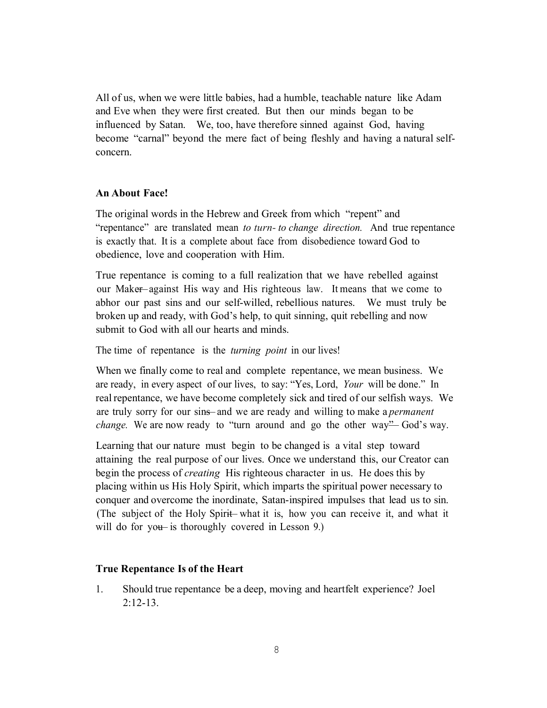All of us, when we were little babies, had a humble, teachable nature like Adam and Eve when they were first created. But then our minds began to be influenced by Satan. We, too, have therefore sinned against God, having become "carnal" beyond the mere fact of being fleshly and having a natural selfconcern.

### **An About Face!**

The original words in the Hebrew and Greek from which "repent" and "repentance" are translated mean *to turn- to change direction.* And true repentance is exactly that. It is a complete about face from disobedience toward God to obedience, love and cooperation with Him.

True repentance is coming to a full realization that we have rebelled against our Make—against His way and His righteous law. It means that we come to abhor our past sins and our self-willed, rebellious natures. We must truly be broken up and ready, with God's help, to quit sinning, quit rebelling and now submit to God with all our hearts and minds.

The time of repentance is the *turning point* in our lives!

When we finally come to real and complete repentance, we mean business. We are ready, in every aspect of our lives, to say: "Yes, Lord, *Your* will be done." In real repentance, we have become completely sick and tired of our selfish ways. We are truly sorry for our sins—and we are ready and willing to make a *permanent change.* We are now ready to "turn around and go the other way"— God's way.

Learning that our nature must begin to be changed is a vital step toward attaining the real purpose of our lives. Once we understand this, our Creator can begin the process of *creating* His righteous character in us. He does this by placing within us His Holy Spirit, which imparts the spiritual power necessary to conquer and overcome the inordinate, Satan-inspired impulses that lead us to sin. (The subject of the Holy Spirit—what it is, how you can receive it, and what it will do for you— is thoroughly covered in Lesson 9.)

#### **True Repentance Is of the Heart**

1. Should true repentance be a deep, moving and heartfelt experience? Joel  $2:12-13$ .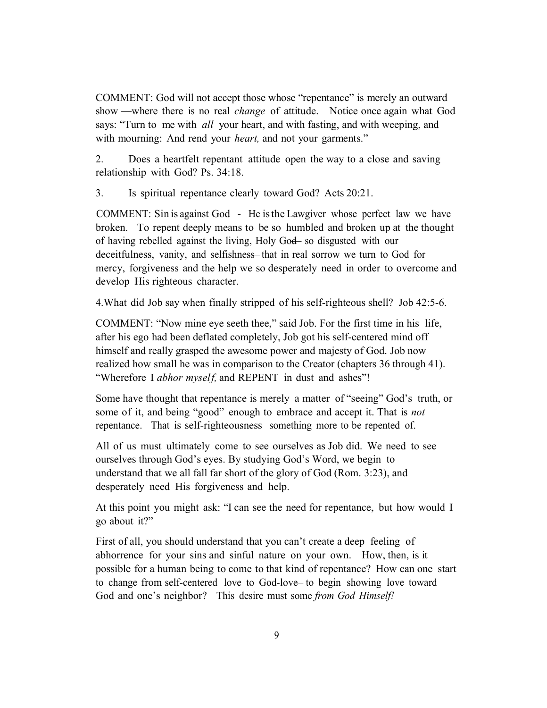COMMENT: God will not accept those whose "repentance" is merely an outward show —where there is no real *change* of attitude. Notice once again what God says: "Turn to me with *all* your heart, and with fasting, and with weeping, and with mourning: And rend your *heart,* and not your garments."

2. Does a heartfelt repentant attitude open the way to a close and saving relationship with God? Ps. 34:18.

3. Is spiritual repentance clearly toward God? Acts 20:21.

COMMENT: Sin is against God - He is the Lawgiver whose perfect law we have broken. To repent deeply means to be so humbled and broken up at the thought of having rebelled against the living, Holy God— so disgusted with our deceitfulness, vanity, and selfishness—that in real sorrow we turn to God for mercy, forgiveness and the help we so desperately need in order to overcome and develop His righteous character.

4.What did Job say when finally stripped of his self-righteous shell? Job 42:5-6.

COMMENT: "Now mine eye seeth thee," said Job. For the first time in his life, after his ego had been deflated completely, Job got his self-centered mind off himself and really grasped the awesome power and majesty of God. Job now realized how small he was in comparison to the Creator (chapters 36 through 41). "Wherefore I *abhor myself*, and REPENT in dust and ashes"!

Some have thought that repentance is merely a matter of "seeing" God's truth, or some of it, and being "good" enough to embrace and accept it. That is *not*  repentance. That is self-righteousness— something more to be repented of.

All of us must ultimately come to see ourselves as Job did. We need to see ourselves through God's eyes. By studying God's Word, we begin to understand that we all fall far short of the glory of God (Rom. 3:23), and desperately need His forgiveness and help.

At this point you might ask: "I can see the need for repentance, but how would I go about it?"

First of all, you should understand that you can't create a deep feeling of abhorrence for your sins and sinful nature on your own. How, then, is it possible for a human being to come to that kind of repentance? How can one start to change from self-centered love to God-love— to begin showing love toward God and one's neighbor? This desire must some *from God Himself!*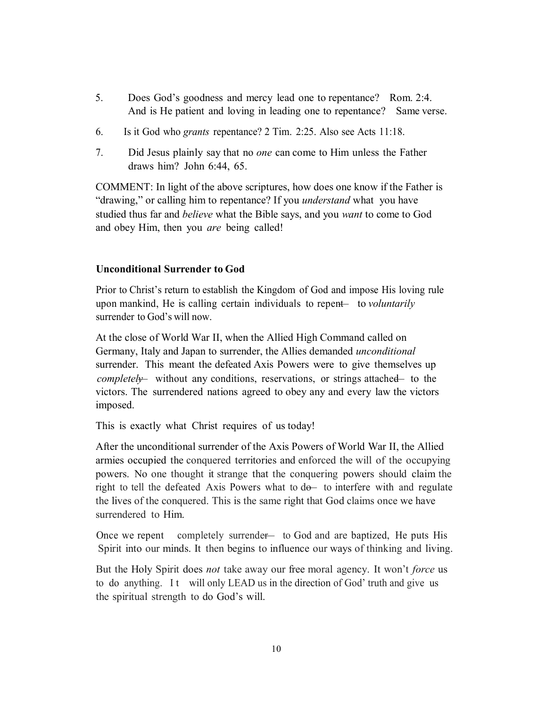- 5. Does God's goodness and mercy lead one to repentance? Rom. 2:4. And is He patient and loving in leading one to repentance? Same verse.
- 6. Is it God who *grants* repentance? 2 Tim. 2:25. Also see Acts 11:18.
- 7. Did Jesus plainly say that no *one* can come to Him unless the Father draws him? John 6:44, 65.

COMMENT: In light of the above scriptures, how does one know if the Father is "drawing," or calling him to repentance? If you *understand* what you have studied thus far and *believe* what the Bible says, and you *want* to come to God and obey Him, then you *are* being called!

#### **Unconditional Surrender to God**

Prior to Christ's return to establish the Kingdom of God and impose His loving rule upon mankind, He is calling certain individuals to repent— to *voluntarily* surrender to God's will now.

At the close of World War II, when the Allied High Command called on Germany, Italy and Japan to surrender, the Allies demanded *unconditional* surrender. This meant the defeated Axis Powers were to give themselves up *completel* without any conditions, reservations, or strings attached— to the victors. The surrendered nations agreed to obey any and every law the victors imposed.

This is exactly what Christ requires of us today!

After the unconditional surrender of the Axis Powers of World War II, the Allied armies occupied the conquered territories and enforced the will of the occupying powers. No one thought it strange that the conquering powers should claim the right to tell the defeated Axis Powers what to do— to interfere with and regulate the lives of the conquered. This is the same right that God claims once we have surrendered to Him.

Once we repent completely surrender— to God and are baptized, He puts His Spirit into our minds. It then begins to influence our ways of thinking and living.

But the Holy Spirit does *not* take away our free moral agency. It won't *force* us to do anything. It will only LEAD us in the direction of God' truth and give us the spiritual strength to do God's will.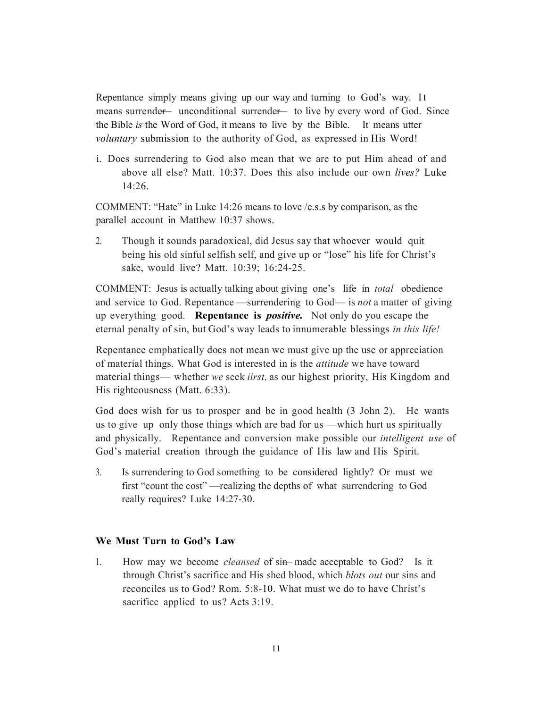Repentance simply means giving up our way and turning to God's way. It means surrende— unconditional surrende— to live by every word of God. Since the Bible *is* the Word of God, it means to live by the Bible. It means utter *voluntary* submission to the authority of God, as expressed in His Word!

i. Does surrendering to God also mean that we are to put Him ahead of and above all else? Matt. 10:37. Does this also include our own *lives?* Luke 14:26.

COMMENT: "Hate" in Luke 14:26 means to love /e.s.s by comparison, as the parallel account in Matthew 10:37 shows.

2. Though it sounds paradoxical, did Jesus say that whoever would quit being his old sinful selfish self, and give up or "lose" his life for Christ's sake, would live? Matt. 10:39; 16:24-25.

COMMENT: Jesus is actually talking about giving one's life in *total* obedience and service to God. Repentance —surrendering to God— is *not* a matter of giving up everything good. **Repentance is** *positive.* Not only do you escape the eternal penalty of sin, but God's way leads to innumerable blessings *in this life!*

Repentance emphatically does not mean we must give up the use or appreciation of material things. What God is interested in is the *attitude* we have toward material things— whether *we* seek *iirst,* as our highest priority, His Kingdom and His righteousness (Matt. 6:33).

God does wish for us to prosper and be in good health (3 John 2). He wants us to give up only those things which are bad for us —which hurt us spiritually and physically. Repentance and conversion make possible our *intelligent use* of God's material creation through the guidance of His law and His Spirit.

3. Is surrendering to God something to be considered lightly? Or must we first "count the cost" —realizing the depths of what surrendering to God really requires? Luke 14:27-30.

#### **We Must Turn to God's Law**

1. How may we become *cleansed* of sin— made acceptable to God? Is it through Christ's sacrifice and His shed blood, which *blots out* our sins and reconciles us to God? Rom. 5:8-10. What must we do to have Christ's sacrifice applied to us? Acts 3:19.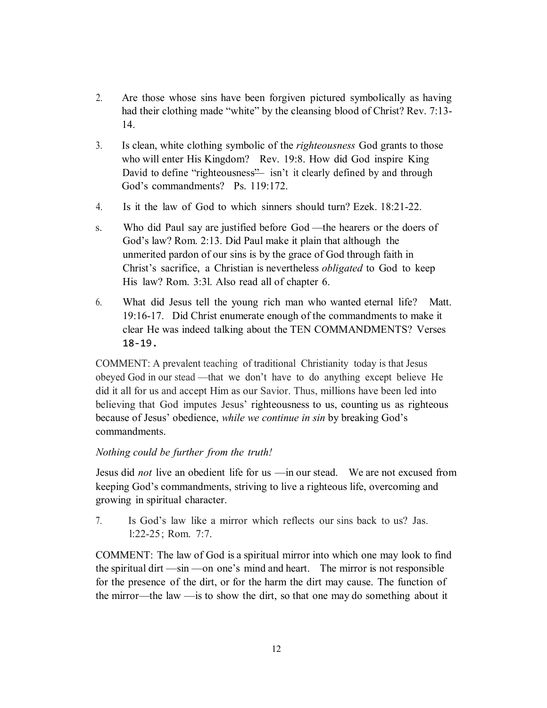- 2. Are those whose sins have been forgiven pictured symbolically as having had their clothing made "white" by the cleansing blood of Christ? Rev. 7:13- 14.
- 3. Is clean, white clothing symbolic of the *righteousness* God grants to those who will enter His Kingdom? Rev. 19:8. How did God inspire King David to define "righteousness"— isn't it clearly defined by and through God's commandments? Ps. 119:172.
- 4. Is it the law of God to which sinners should turn? Ezek. 18:21-22.
- s. Who did Paul say are justified before God —the hearers or the doers of God's law? Rom. 2:13. Did Paul make it plain that although the unmerited pardon of our sins is by the grace of God through faith in Christ's sacrifice, a Christian is nevertheless *obligated* to God to keep His law? Rom. 3:3l. Also read all of chapter 6.
- 6. What did Jesus tell the young rich man who wanted eternal life? Matt. 19:16-17. Did Christ enumerate enough of the commandments to make it clear He was indeed talking about the TEN COMMANDMENTS? Verses 18-19.

COMMENT: A prevalent teaching of traditional Christianity today is that Jesus obeyed God in our stead —that we don't have to do anything except believe He did it all for us and accept Him as our Savior. Thus, millions have been led into believing that God imputes Jesus' righteousness to us, counting us as righteous because of Jesus' obedience, *while we continue in sin* by breaking God's commandments.

# *Nothing could be further from the truth!*

Jesus did *not* live an obedient life for us —in our stead. We are not excused from keeping God's commandments, striving to live a righteous life, overcoming and growing in spiritual character.

7. Is God's law like a mirror which reflects our sins back to us? Jas. l:22-25; Rom. 7:7.

COMMENT: The law of God is a spiritual mirror into which one may look to find the spiritual dirt —sin —on one's mind and heart. The mirror is not responsible for the presence of the dirt, or for the harm the dirt may cause. The function of the mirror—the law —is to show the dirt, so that one may do something about it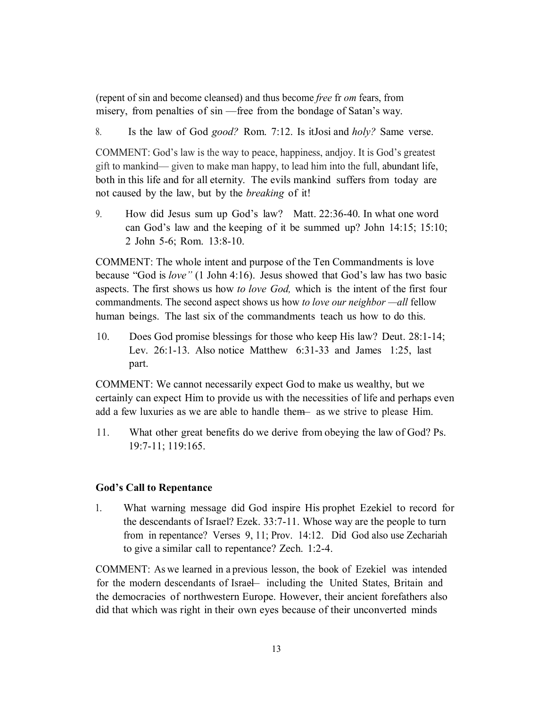(repent of sin and become cleansed) and thus become *free* fr *om* fears, from misery, from penalties of sin —free from the bondage of Satan's way.

8. Is the law of God *good?* Rom. 7:12. Is itJosi and *holy?* Same verse.

COMMENT: God's law is the way to peace, happiness, andjoy. It is God's greatest gift to mankind— given to make man happy, to lead him into the full, abundant life, both in this life and for all eternity. The evils mankind suffers from today are not caused by the law, but by the *breaking* of it!

9. How did Jesus sum up God's law? Matt. 22:36-40. In what one word can God's law and the keeping of it be summed up? John 14:15; 15:10; 2 John 5-6; Rom. 13:8-10.

COMMENT: The whole intent and purpose of the Ten Commandments is love because "God is *love"* (1 John 4:16). Jesus showed that God's law has two basic aspects. The first shows us how *to love God,* which is the intent of the first four commandments. The second aspect shows us how *to love our neighbor —all* fellow human beings. The last six of the commandments teach us how to do this.

10. Does God promise blessings for those who keep His law? Deut. 28:1-14; Lev. 26:1-13. Also notice Matthew 6:31-33 and James 1:25, last part.

COMMENT: We cannot necessarily expect God to make us wealthy, but we certainly can expect Him to provide us with the necessities of life and perhaps even add a few luxuries as we are able to handle them— as we strive to please Him.

11. What other great benefits do we derive from obeying the law of God? Ps. 19:7-11; 119:165.

# **God's Call to Repentance**

1. What warning message did God inspire His prophet Ezekiel to record for the descendants of Israel? Ezek. 33:7-11. Whose way are the people to turn from in repentance? Verses 9, 11; Prov. 14:12. Did God also use Zechariah to give a similar call to repentance? Zech. 1:2-4.

COMMENT: As we learned in a previous lesson, the book of Ezekiel was intended for the modern descendants of Israe—including the United States, Britain and the democracies of northwestern Europe. However, their ancient forefathers also did that which was right in their own eyes because of their unconverted minds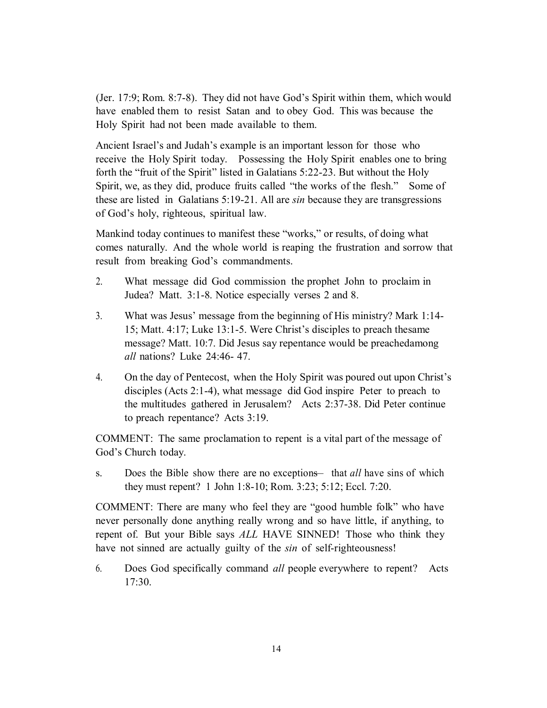(Jer. 17:9; Rom. 8:7-8). They did not have God's Spirit within them, which would have enabled them to resist Satan and to obey God. This was because the Holy Spirit had not been made available to them.

Ancient Israel's and Judah's example is an important lesson for those who receive the Holy Spirit today. Possessing the Holy Spirit enables one to bring forth the "fruit of the Spirit" listed in Galatians 5:22-23. But without the Holy Spirit, we, as they did, produce fruits called "the works of the flesh." Some of these are listed in Galatians 5:19-21. All are *sin* because they are transgressions of God's holy, righteous, spiritual law.

Mankind today continues to manifest these "works," or results, of doing what comes naturally. And the whole world is reaping the frustration and sorrow that result from breaking God's commandments.

- 2. What message did God commission the prophet John to proclaim in Judea? Matt. 3:1-8. Notice especially verses 2 and 8.
- 3. What was Jesus' message from the beginning of His ministry? Mark 1:14- 15; Matt. 4:17; Luke 13:1-5. Were Christ's disciples to preach thesame message? Matt. 10:7. Did Jesus say repentance would be preachedamong *all* nations? Luke 24:46- 47.
- 4. On the day of Pentecost, when the Holy Spirit was poured out upon Christ's disciples (Acts 2:1-4), what message did God inspire Peter to preach to the multitudes gathered in Jerusalem? Acts 2:37-38. Did Peter continue to preach repentance? Acts 3:19.

COMMENT: The same proclamation to repent is a vital part of the message of God's Church today.

s. Does the Bible show there are no exceptions—that *all* have sins of which they must repent? 1 John 1:8-10; Rom. 3:23; 5:12; Eccl. 7:20.

COMMENT: There are many who feel they are "good humble folk" who have never personally done anything really wrong and so have little, if anything, to repent of. But your Bible says *ALL* HAVE SINNED! Those who think they have not sinned are actually guilty of the *sin* of self-righteousness!

6. Does God specifically command *all* people everywhere to repent? Acts 17:30.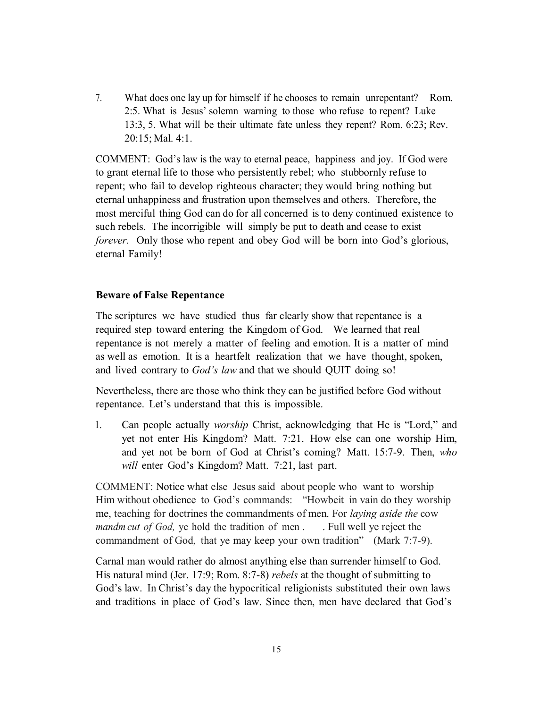7. What does one lay up for himself if he chooses to remain unrepentant? Rom. 2:5. What is Jesus' solemn warning to those who refuse to repent? Luke 13:3, 5. What will be their ultimate fate unless they repent? Rom. 6:23; Rev. 20:15; Mal. 4:1.

COMMENT: God's law is the way to eternal peace, happiness and joy. If God were to grant eternal life to those who persistently rebel; who stubbornly refuse to repent; who fail to develop righteous character; they would bring nothing but eternal unhappiness and frustration upon themselves and others. Therefore, the most merciful thing God can do for all concerned is to deny continued existence to such rebels. The incorrigible will simply be put to death and cease to exist *forever.* Only those who repent and obey God will be born into God's glorious, eternal Family!

#### **Beware of False Repentance**

The scriptures we have studied thus far clearly show that repentance is a required step toward entering the Kingdom of God. We learned that real repentance is not merely a matter of feeling and emotion. It is a matter of mind as well as emotion. It is a heartfelt realization that we have thought, spoken, and lived contrary to *God's law* and that we should QUIT doing so!

Nevertheless, there are those who think they can be justified before God without repentance. Let's understand that this is impossible.

1. Can people actually *worship* Christ, acknowledging that He is "Lord," and yet not enter His Kingdom? Matt. 7:21. How else can one worship Him, and yet not be born of God at Christ's coming? Matt. 15:7-9. Then, *who will* enter God's Kingdom? Matt. 7:21, last part.

COMMENT: Notice what else Jesus said about people who want to worship Him without obedience to God's commands: "Howbeit in vain do they worship me, teaching for doctrines the commandments of men. For *laying aside the* cow *mandm cut of God,* ye hold the tradition of men . . Full well ye reject the commandment of God, that ye may keep your own tradition" (Mark 7:7-9).

Carnal man would rather do almost anything else than surrender himself to God. His natural mind (Jer. 17:9; Rom. 8:7-8) *rebels* at the thought of submitting to God's law. In Christ's day the hypocritical religionists substituted their own laws and traditions in place of God's law. Since then, men have declared that God's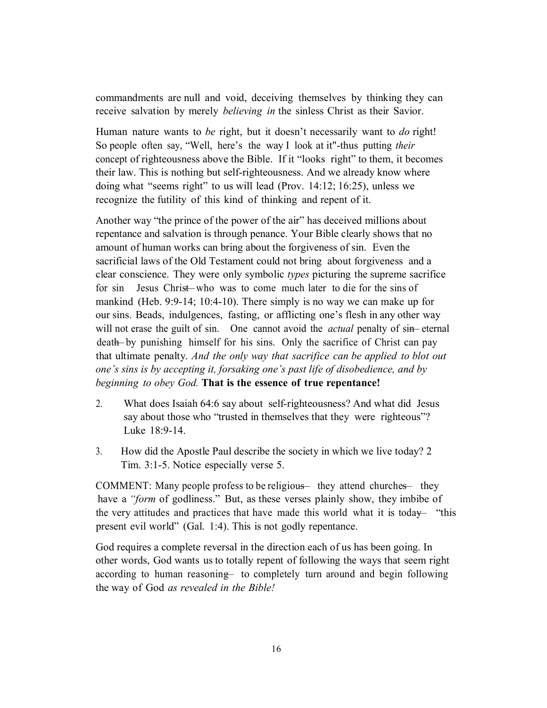commandments are null and void, deceiving themselves by thinking they can receive salvation by merely *believing in* the sinless Christ as their Savior.

Human nature wants to *be* right, but it doesn't necessarily want to *do* right! So people often say, "Well, here's the way I look at it"-thus putting *their* concept of righteousness above the Bible. If it "looks right" to them, it becomes their law. This is nothing but self-righteousness. And we already know where doing what "seems right" to us will lead (Prov. 14:12; 16:25), unless we recognize the futility of this kind of thinking and repent of it.

Another way "the prince of the power of the air" has deceived millions about repentance and salvation is through penance. Your Bible clearly shows that no amount of human works can bring about the forgiveness of sin. Even the sacrificial laws of the Old Testament could not bring about forgiveness and a clear conscience. They were only symbolic *types* picturing the supreme sacrifice for sin Jesus Christ-who was to come much later to die for the sins of mankind (Heb. 9:9-14; 10:4-10). There simply is no way we can make up for our sins. Beads, indulgences, fasting, or afflicting one's flesh in any other way will not erase the guilt of sin. One cannot avoid the *actual* penalty of sin-eternal death—by punishing himself for his sins. Only the sacrifice of Christ can pay that ultimate penalty. *And the only way that sacrifice can be applied to blot out one's sins is by accepting it, forsaking one's past life of disobedience, and by beginning to obey God.* **That is the essence of true repentance!** 

- 2. What does Isaiah 64:6 say about self-righteousness? And what did Jesus say about those who "trusted in themselves that they were righteous"? Luke 18:9-14.
- 3. How did the Apostle Paul describe the society in which we live today? 2 Tim. 3:1-5. Notice especially verse 5.

COMMENT: Many people profess to be religious—they attend churches—they have a *"form* of godliness." But, as these verses plainly show, they imbibe of the very attitudes and practices that have made this world what it is today— "this present evil world" (Gal. 1:4). This is not godly repentance.

God requires a complete reversal in the direction each of us has been going. In other words, God wants us to totally repent of following the ways that seem right according to human reasoning— to completely turn around and begin following the way of God *as revealed in the Bible!*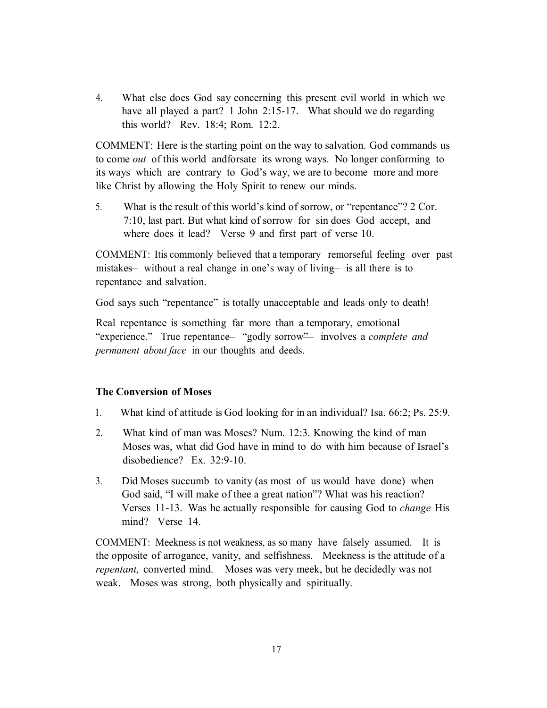4. What else does God say concerning this present evil world in which we have all played a part? 1 John 2:15-17. What should we do regarding this world? Rev. 18:4; Rom. 12:2.

COMMENT: Here is the starting point on the way to salvation. God commands us to come *out* of this world andforsate its wrong ways. No longer conforming to its ways which are contrary to God's way, we are to become more and more like Christ by allowing the Holy Spirit to renew our minds.

5. What is the result of this world's kind of sorrow, or "repentance"? 2 Cor. 7:10, last part. But what kind of sorrow for sin does God accept, and where does it lead? Verse 9 and first part of verse 10.

COMMENT: Itis commonly believed that a temporary remorseful feeling over past mistakes— without a real change in one's way of living— is all there is to repentance and salvation.

God says such "repentance" is totally unacceptable and leads only to death!

Real repentance is something far more than a temporary, emotional "experience." True repentance— "godly sorrow"— involves a *complete and permanent about face* in our thoughts and deeds.

#### **The Conversion of Moses**

- 1. What kind of attitude is God looking for in an individual? Isa. 66:2; Ps. 25:9.
- 2. What kind of man was Moses? Num. 12:3. Knowing the kind of man Moses was, what did God have in mind to do with him because of Israel's disobedience? Ex. 32:9-10.
- 3. Did Moses succumb to vanity (as most of us would have done) when God said, "I will make of thee a great nation"? What was his reaction? Verses 11-13. Was he actually responsible for causing God to *change* His mind? Verse 14.

COMMENT: Meekness is not weakness, as so many have falsely assumed. It is the opposite of arrogance, vanity, and selfishness. Meekness is the attitude of a *repentant,* converted mind. Moses was very meek, but he decidedly was not weak. Moses was strong, both physically and spiritually.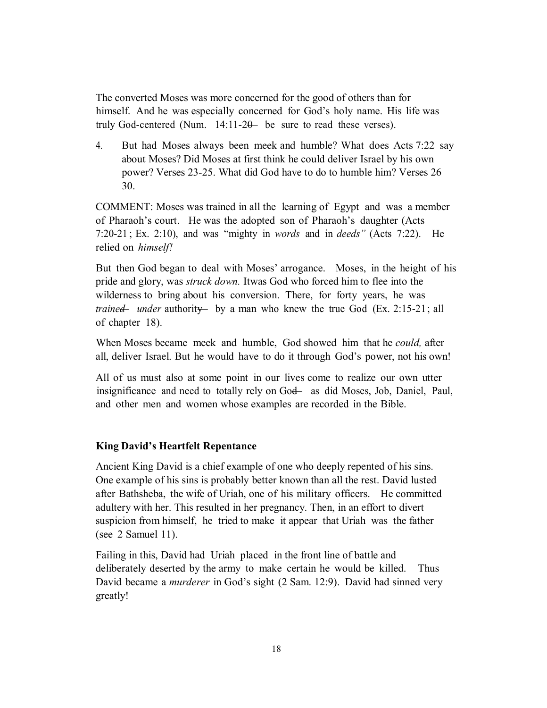The converted Moses was more concerned for the good of others than for himself. And he was especially concerned for God's holy name. His life was truly God-centered (Num.  $14:11-20-$  be sure to read these verses).

4. But had Moses always been meek and humble? What does Acts 7:22 say about Moses? Did Moses at first think he could deliver Israel by his own power? Verses 23-25. What did God have to do to humble him? Verses 26— 30.

COMMENT: Moses was trained in all the learning of Egypt and was a member of Pharaoh's court. He was the adopted son of Pharaoh's daughter (Acts 7:20-21 ; Ex. 2:10), and was "mighty in *words* and in *deeds"* (Acts 7:22). He relied on *himself!*

But then God began to deal with Moses' arrogance. Moses, in the height of his pride and glory, was *struck down.* Itwas God who forced him to flee into the wilderness to bring about his conversion. There, for forty years, he was *trained— under* authority— by a man who knew the true God (Ex. 2:15-21 ; all of chapter 18).

When Moses became meek and humble, God showed him that he *could,* after all, deliver Israel. But he would have to do it through God's power, not his own!

All of us must also at some point in our lives come to realize our own utter insignificance and need to totally rely on God— as did Moses, Job, Daniel, Paul, and other men and women whose examples are recorded in the Bible.

#### **King David's Heartfelt Repentance**

Ancient King David is a chief example of one who deeply repented of his sins. One example of his sins is probably better known than all the rest. David lusted after Bathsheba, the wife of Uriah, one of his military officers. He committed adultery with her. This resulted in her pregnancy. Then, in an effort to divert suspicion from himself, he tried to make it appear that Uriah was the father (see 2 Samuel 11).

Failing in this, David had Uriah placed in the front line of battle and deliberately deserted by the army to make certain he would be killed. Thus David became a *murderer* in God's sight (2 Sam. 12:9). David had sinned very greatly!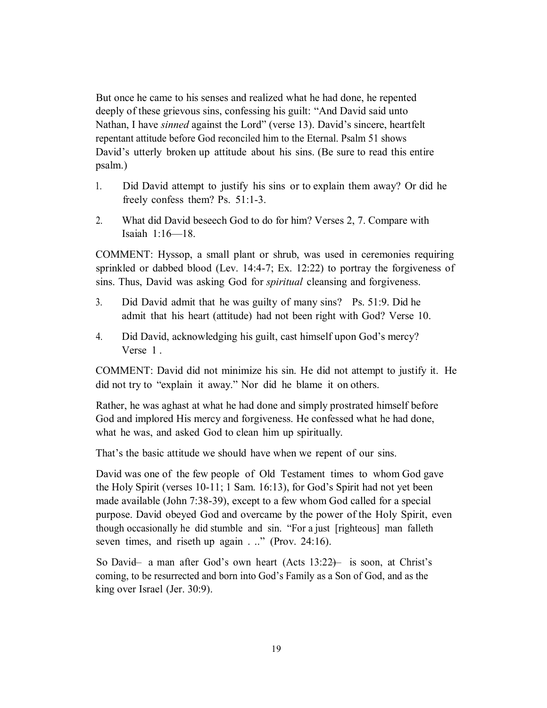But once he came to his senses and realized what he had done, he repented deeply of these grievous sins, confessing his guilt: "And David said unto Nathan, I have *sinned* against the Lord" (verse 13). David's sincere, heartfelt repentant attitude before God reconciled him to the Eternal. Psalm 51 shows David's utterly broken up attitude about his sins. (Be sure to read this entire psalm.)

- 1. Did David attempt to justify his sins or to explain them away? Or did he freely confess them? Ps. 51:1-3.
- 2. What did David beseech God to do for him? Verses 2, 7. Compare with Isaiah 1:16—18.

COMMENT: Hyssop, a small plant or shrub, was used in ceremonies requiring sprinkled or dabbed blood (Lev. 14:4-7; Ex. 12:22) to portray the forgiveness of sins. Thus, David was asking God for *spiritual* cleansing and forgiveness.

- 3. Did David admit that he was guilty of many sins? Ps. 51:9. Did he admit that his heart (attitude) had not been right with God? Verse 10.
- 4. Did David, acknowledging his guilt, cast himself upon God's mercy? Verse 1 .

COMMENT: David did not minimize his sin. He did not attempt to justify it. He did not try to "explain it away." Nor did he blame it on others.

Rather, he was aghast at what he had done and simply prostrated himself before God and implored His mercy and forgiveness. He confessed what he had done, what he was, and asked God to clean him up spiritually.

That's the basic attitude we should have when we repent of our sins.

David was one of the few people of Old Testament times to whom God gave the Holy Spirit (verses 10-11; 1 Sam. 16:13), for God's Spirit had not yet been made available (John 7:38-39), except to a few whom God called for a special purpose. David obeyed God and overcame by the power of the Holy Spirit, even though occasionally he did stumble and sin. "For a just [righteous] man falleth seven times, and riseth up again . .." (Prov. 24:16).

So David— a man after God's own heart (Acts 13:22)— is soon, at Christ's coming, to be resurrected and born into God's Family as a Son of God, and as the king over Israel (Jer. 30:9).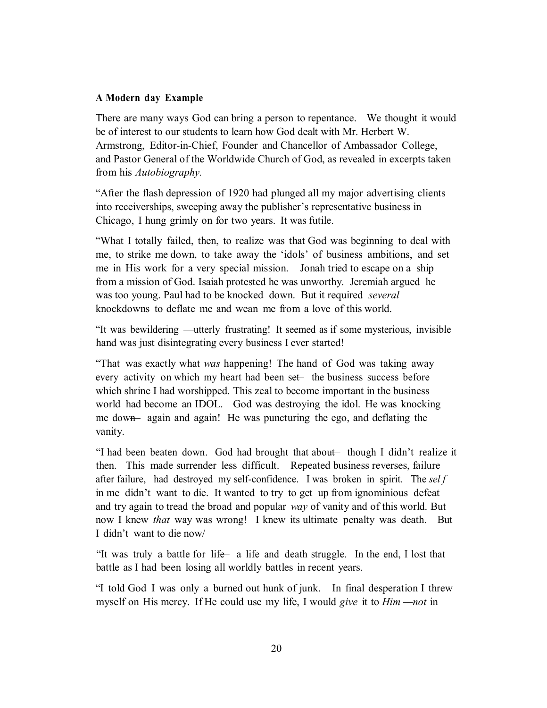#### **A Modern day Example**

There are many ways God can bring a person to repentance. We thought it would be of interest to our students to learn how God dealt with Mr. Herbert W. Armstrong, Editor-in-Chief, Founder and Chancellor of Ambassador College, and Pastor General of the Worldwide Church of God, as revealed in excerpts taken from his *Autobiography.*

"After the flash depression of 1920 had plunged all my major advertising clients into receiverships, sweeping away the publisher's representative business in Chicago, I hung grimly on for two years. It was futile.

"What I totally failed, then, to realize was that God was beginning to deal with me, to strike me down, to take away the 'idols' of business ambitions, and set me in His work for a very special mission. Jonah tried to escape on a ship from a mission of God. Isaiah protested he was unworthy. Jeremiah argued he was too young. Paul had to be knocked down. But it required *several* knockdowns to deflate me and wean me from a love of this world.

"It was bewildering —utterly frustrating! It seemed as if some mysterious, invisible hand was just disintegrating every business I ever started!

"That was exactly what *was* happening! The hand of God was taking away every activity on which my heart had been set—the business success before which shrine I had worshipped. This zeal to become important in the business world had become an IDOL. God was destroying the idol. He was knocking me down— again and again! He was puncturing the ego, and deflating the vanity.

"I had been beaten down. God had brought that about- though I didn't realize it then. This made surrender less difficult. Repeated business reverses, failure after failure, had destroyed my self-confidence. I was broken in spirit. The *sel f* in me didn't want to die. It wanted to try to get up from ignominious defeat and try again to tread the broad and popular *way* of vanity and of this world. But now I knew *that* way was wrong! I knew its ultimate penalty was death. But I didn't want to die now/

"It was truly a battle for life— a life and death struggle. In the end, I lost that battle as I had been losing all worldly battles in recent years.

"I told God I was only a burned out hunk of junk. In final desperation I threw myself on His mercy. If He could use my life, I would *give* it to *Him —not* in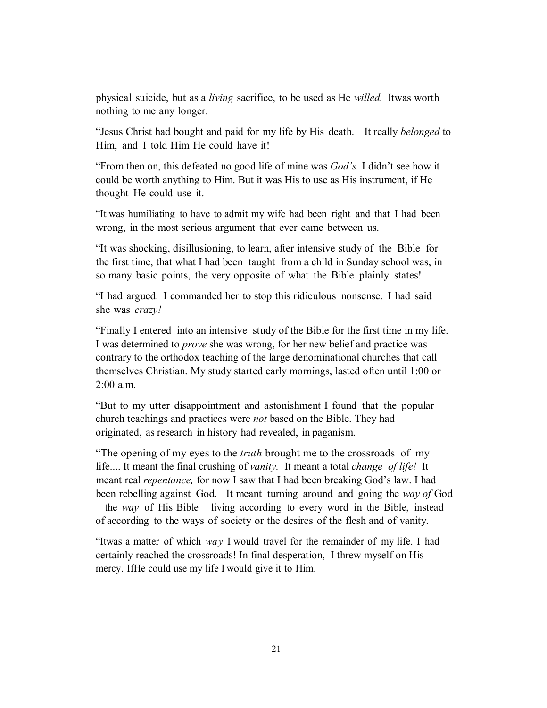physical suicide, but as a *living* sacrifice, to be used as He *willed.* Itwas worth nothing to me any longer.

"Jesus Christ had bought and paid for my life by His death. It really *belonged* to Him, and I told Him He could have it!

"From then on, this defeated no good life of mine was *God's.* I didn't see how it could be worth anything to Him. But it was His to use as His instrument, if He thought He could use it.

"It was humiliating to have to admit my wife had been right and that I had been wrong, in the most serious argument that ever came between us.

"It was shocking, disillusioning, to learn, after intensive study of the Bible for the first time, that what I had been taught from a child in Sunday school was, in so many basic points, the very opposite of what the Bible plainly states!

"I had argued. I commanded her to stop this ridiculous nonsense. I had said she was *crazy!*

"Finally I entered into an intensive study of the Bible for the first time in my life. I was determined to *prove* she was wrong, for her new belief and practice was contrary to the orthodox teaching of the large denominational churches that call themselves Christian. My study started early mornings, lasted often until 1:00 or 2:00 a.m.

"But to my utter disappointment and astonishment I found that the popular church teachings and practices were *not* based on the Bible. They had originated, as research in history had revealed, in paganism.

"The opening of my eyes to the *truth* brought me to the crossroads of my life.... It meant the final crushing of *vanity.* It meant a total *change of life!* It meant real *repentance,* for now I saw that I had been breaking God's law. I had been rebelling against God. It meant turning around and going the *way of* God the *way* of His Bible— living according to every word in the Bible, instead of according to the ways of society or the desires of the flesh and of vanity.

"Itwas a matter of which *way* I would travel for the remainder of my life. I had certainly reached the crossroads! In final desperation, I threw myself on His mercy. IfHe could use my life I would give it to Him.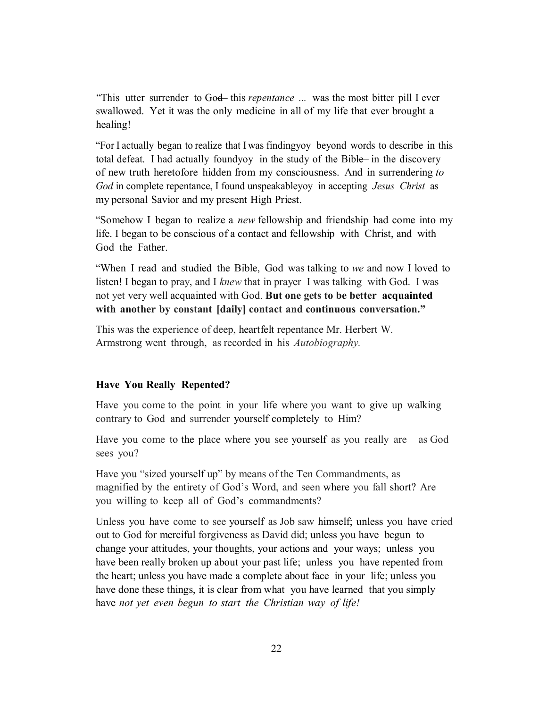"This utter surrender to God this *repentance* ... was the most bitter pill I ever swallowed. Yet it was the only medicine in all of my life that ever brought a healing!

"For I actually began to realize that I was findingyoy beyond words to describe in this total defeat. I had actually foundy in the study of the Bible—in the discovery of new truth heretofore hidden from my consciousness. And in surrendering *to God* in complete repentance, I found unspeakableyoy in accepting *Jesus Christ* as my personal Savior and my present High Priest.

"Somehow I began to realize a *new* fellowship and friendship had come into my life. I began to be conscious of a contact and fellowship with Christ, and with God the Father.

"When I read and studied the Bible, God was talking to *we* and now I loved to listen! I began to pray, and I *knew* that in prayer I was talking with God. I was not yet very well acquainted with God. **But one gets to be better acquainted with another by constant [daily] contact and continuous conversation."**

This was the experience of deep, heartfelt repentance Mr. Herbert W. Armstrong went through, as recorded in his *Autobiography.*

#### **Have You Really Repented?**

Have you come to the point in your life where you want to give up walking contrary to God and surrender yourself completely to Him?

Have you come to the place where you see yourself as you really are as God sees you?

Have you "sized yourself up" by means of the Ten Commandments, as magnified by the entirety of God's Word, and seen where you fall short? Are you willing to keep all of God's commandments?

Unless you have come to see yourself as Job saw himself; unless you have cried out to God for merciful forgiveness as David did; unless you have begun to change your attitudes, your thoughts, your actions and your ways; unless you have been really broken up about your past life; unless you have repented from the heart; unless you have made a complete about face in your life; unless you have done these things, it is clear from what you have learned that you simply have *not yet even begun to start the Christian way of life!*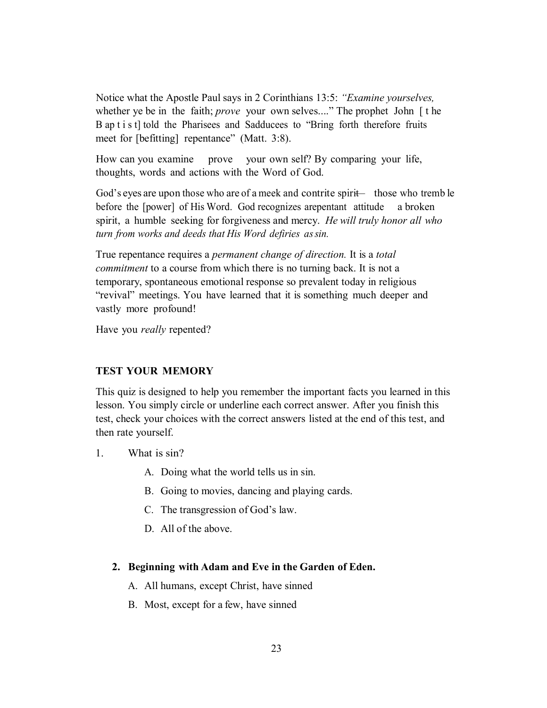Notice what the Apostle Paul says in 2 Corinthians 13:5: *"Examine yourselves,* whether ye be in the faith; *prove* your own selves...." The prophet John [ t he B ap t i s t] told the Pharisees and Sadducees to "Bring forth therefore fruits meet for [befitting] repentance" (Matt. 3:8).

How can you examine prove your own self? By comparing your life, thoughts, words and actions with the Word of God.

God's eyes are upon those who are of a meek and contrite spirit— those who tremb le before the [power] of His Word. God recognizes arepentant attitude a broken spirit, a humble seeking for forgiveness and mercy. *He will truly honor all who turn from works and deeds that His Word defiries assin.*

True repentance requires a *permanent change of direction.* It is a *total commitment* to a course from which there is no turning back. It is not a temporary, spontaneous emotional response so prevalent today in religious "revival" meetings. You have learned that it is something much deeper and vastly more profound!

Have you *really* repented?

#### **TEST YOUR MEMORY**

This quiz is designed to help you remember the important facts you learned in this lesson. You simply circle or underline each correct answer. After you finish this test, check your choices with the correct answers listed at the end of this test, and then rate yourself.

- 1. What is sin?
	- A. Doing what the world tells us in sin.
	- B. Going to movies, dancing and playing cards.
	- C. The transgression of God's law.
	- D. All of the above.

# **2. Beginning with Adam and Eve in the Garden of Eden.**

- A. All humans, except Christ, have sinned
- B. Most, except for a few, have sinned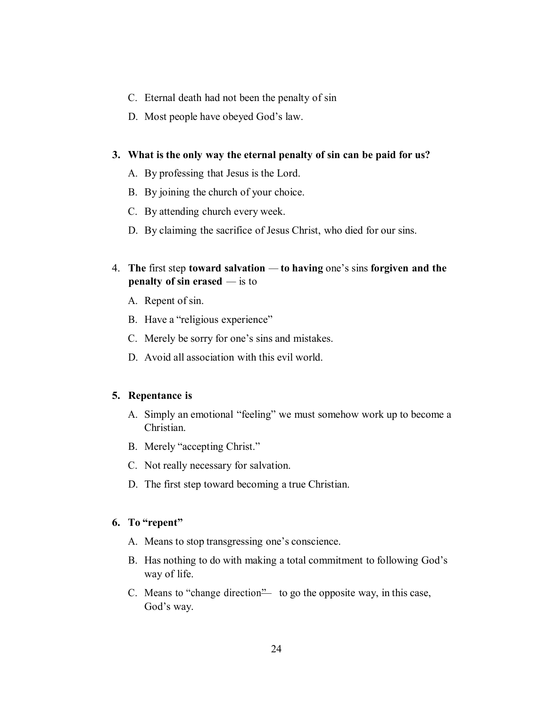- C. Eternal death had not been the penalty of sin
- D. Most people have obeyed God's law.

#### **3. What is the only way the eternal penalty of sin can be paid for us?**

- A. By professing that Jesus is the Lord.
- B. By joining the church of your choice.
- C. By attending church every week.
- D. By claiming the sacrifice of Jesus Christ, who died for our sins.
- 4. **The** first step **toward salvation to having** one's sins **forgiven and the penalty of sin erased** — is to
	- A. Repent of sin.
	- B. Have a "religious experience"
	- C. Merely be sorry for one's sins and mistakes.
	- D. Avoid all association with this evil world.

## **5. Repentance is**

- A. Simply an emotional "feeling" we must somehow work up to become a Christian.
- B. Merely "accepting Christ."
- C. Not really necessary for salvation.
- D. The first step toward becoming a true Christian.

# **6. To "repent"**

- A. Means to stop transgressing one's conscience.
- B. Has nothing to do with making a total commitment to following God's way of life.
- C. Means to "change direction"— to go the opposite way, in this case, God's way.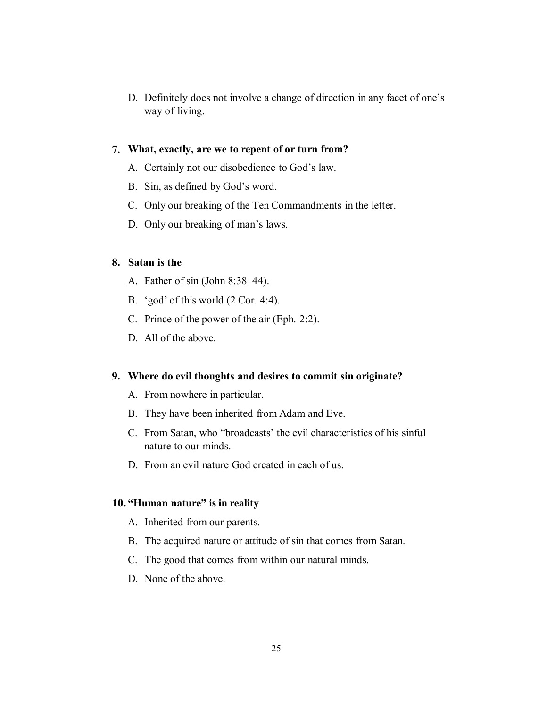D. Definitely does not involve a change of direction in any facet of one's way of living.

# **7. What, exactly, are we to repent of or turn from?**

- A. Certainly not our disobedience to God's law.
- B. Sin, as defined by God's word.
- C. Only our breaking of the Ten Commandments in the letter.
- D. Only our breaking of man's laws.

#### **8. Satan is the**

- A. Father of sin (John 8:38 44).
- B. 'god' of this world (2 Cor. 4:4).
- C. Prince of the power of the air (Eph. 2:2).
- D. All of the above.

# **9. Where do evil thoughts and desires to commit sin originate?**

- A. From nowhere in particular.
- B. They have been inherited from Adam and Eve.
- C. From Satan, who "broadcasts' the evil characteristics of his sinful nature to our minds.
- D. From an evil nature God created in each of us.

# **10. "Human nature" is in reality**

- A. Inherited from our parents.
- B. The acquired nature or attitude of sin that comes from Satan.
- C. The good that comes from within our natural minds.
- D. None of the above.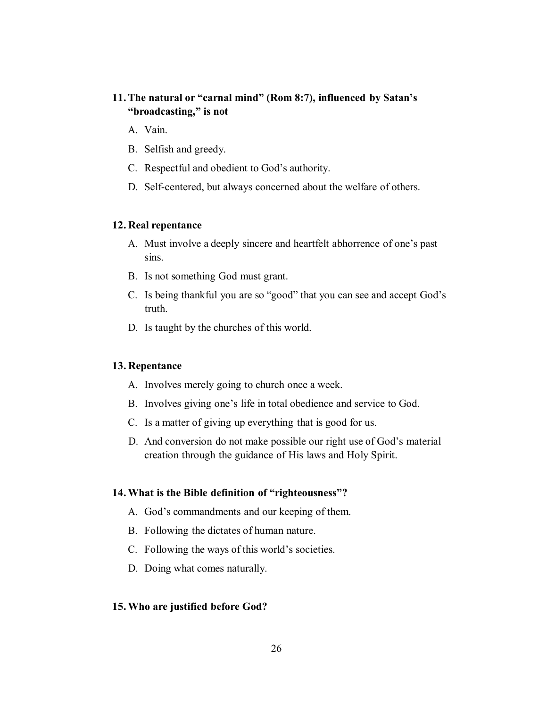# **11.The natural or "carnal mind" (Rom 8:7), influenced by Satan's "broadcasting," is not**

- A. Vain.
- B. Selfish and greedy.
- C. Respectful and obedient to God's authority.
- D. Self-centered, but always concerned about the welfare of others.

#### **12. Real repentance**

- A. Must involve a deeply sincere and heartfelt abhorrence of one's past sins.
- B. Is not something God must grant.
- C. Is being thankful you are so "good" that you can see and accept God's truth.
- D. Is taught by the churches of this world.

#### **13. Repentance**

- A. Involves merely going to church once a week.
- B. Involves giving one's life in total obedience and service to God.
- C. Is a matter of giving up everything that is good for us.
- D. And conversion do not make possible our right use of God's material creation through the guidance of His laws and Holy Spirit.

#### **14.What is the Bible definition of "righteousness"?**

- A. God's commandments and our keeping of them.
- B. Following the dictates of human nature.
- C. Following the ways of this world's societies.
- D. Doing what comes naturally.

#### **15.Who are justified before God?**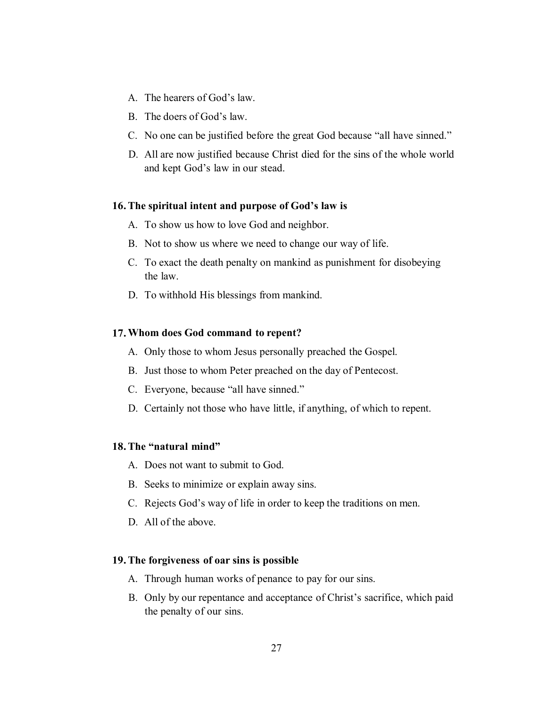- A. The hearers of God's law.
- B. The doers of God's law.
- C. No one can be justified before the great God because "all have sinned."
- D. All are now justified because Christ died for the sins of the whole world and kept God's law in our stead.

#### **16.The spiritual intent and purpose of God's law is**

- A. To show us how to love God and neighbor.
- B. Not to show us where we need to change our way of life.
- C. To exact the death penalty on mankind as punishment for disobeying the law.
- D. To withhold His blessings from mankind.

#### **17.Whom does God command to repent?**

- A. Only those to whom Jesus personally preached the Gospel.
- B. Just those to whom Peter preached on the day of Pentecost.
- C. Everyone, because "all have sinned."
- D. Certainly not those who have little, if anything, of which to repent.

#### **18.The "natural mind"**

- A. Does not want to submit to God.
- B. Seeks to minimize or explain away sins.
- C. Rejects God's way of life in order to keep the traditions on men.
- D. All of the above.

## **19.The forgiveness of oar sins is possible**

- A. Through human works of penance to pay for our sins.
- B. Only by our repentance and acceptance of Christ's sacrifice, which paid the penalty of our sins.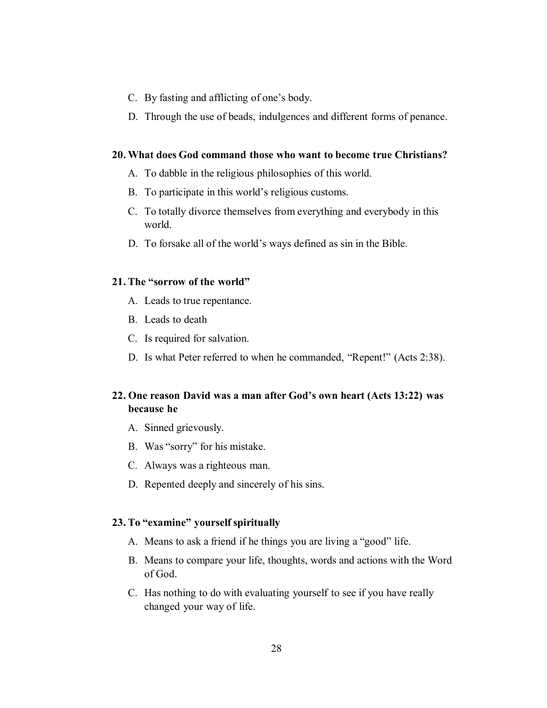- C. By fasting and afflicting of one's body.
- D. Through the use of beads, indulgences and different forms of penance.

#### **20. What does God command those who want to become true Christians?**

- A. To dabble in the religious philosophies of this world.
- B. To participate in this world's religious customs.
- C. To totally divorce themselves from everything and everybody in this world.
- D. To forsake all of the world's ways defined as sin in the Bible.

### **21. The "sorrow of the world"**

- A. Leads to true repentance.
- B. Leads to death
- C. Is required for salvation.
- D. Is what Peter referred to when he commanded, "Repent!" (Acts 2:38).

# **22. One reason David was a man after God's own heart (Acts 13:22) was because he**

- A. Sinned grievously.
- B. Was "sorry" for his mistake.
- C. Always was a righteous man.
- D. Repented deeply and sincerely of his sins.

#### **23. To "examine" yourself spiritually**

- A. Means to ask a friend if he things you are living a "good" life.
- B. Means to compare your life, thoughts, words and actions with the Word of God.
- C. Has nothing to do with evaluating yourself to see if you have really changed your way of life.